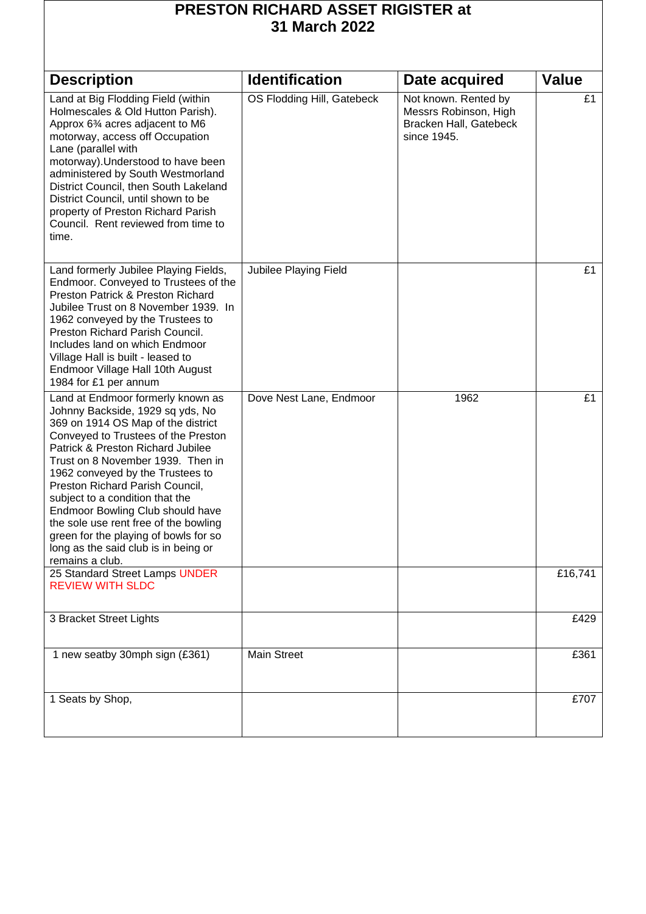| <b>PRESTON RICHARD ASSET RIGISTER at</b><br>31 March 2022                                                                                                                                                                                                                                                                                                                                                                                                                                                                      |                            |                                                                                        |              |  |
|--------------------------------------------------------------------------------------------------------------------------------------------------------------------------------------------------------------------------------------------------------------------------------------------------------------------------------------------------------------------------------------------------------------------------------------------------------------------------------------------------------------------------------|----------------------------|----------------------------------------------------------------------------------------|--------------|--|
| <b>Description</b>                                                                                                                                                                                                                                                                                                                                                                                                                                                                                                             | <b>Identification</b>      | Date acquired                                                                          | <b>Value</b> |  |
| Land at Big Flodding Field (within<br>Holmescales & Old Hutton Parish).<br>Approx 63⁄4 acres adjacent to M6<br>motorway, access off Occupation<br>Lane (parallel with<br>motorway). Understood to have been<br>administered by South Westmorland<br>District Council, then South Lakeland<br>District Council, until shown to be<br>property of Preston Richard Parish<br>Council. Rent reviewed from time to<br>time.                                                                                                         | OS Flodding Hill, Gatebeck | Not known. Rented by<br>Messrs Robinson, High<br>Bracken Hall, Gatebeck<br>since 1945. | £1           |  |
| Land formerly Jubilee Playing Fields,<br>Endmoor. Conveyed to Trustees of the<br>Preston Patrick & Preston Richard<br>Jubilee Trust on 8 November 1939. In<br>1962 conveyed by the Trustees to<br>Preston Richard Parish Council.<br>Includes land on which Endmoor<br>Village Hall is built - leased to<br>Endmoor Village Hall 10th August<br>1984 for £1 per annum                                                                                                                                                          | Jubilee Playing Field      |                                                                                        | £1           |  |
| Land at Endmoor formerly known as<br>Johnny Backside, 1929 sq yds, No<br>369 on 1914 OS Map of the district<br>Conveyed to Trustees of the Preston<br>Patrick & Preston Richard Jubilee<br>Trust on 8 November 1939. Then in<br>1962 conveyed by the Trustees to<br>Preston Richard Parish Council,<br>subject to a condition that the<br><b>Endmoor Bowling Club should have</b><br>the sole use rent free of the bowling<br>green for the playing of bowls for so<br>long as the said club is in being or<br>remains a club. | Dove Nest Lane, Endmoor    | 1962                                                                                   | £1           |  |
| 25 Standard Street Lamps UNDER<br><b>REVIEW WITH SLDC</b>                                                                                                                                                                                                                                                                                                                                                                                                                                                                      |                            |                                                                                        | £16,741      |  |
| 3 Bracket Street Lights                                                                                                                                                                                                                                                                                                                                                                                                                                                                                                        |                            |                                                                                        | £429         |  |
| 1 new seatby 30mph sign (£361)                                                                                                                                                                                                                                                                                                                                                                                                                                                                                                 | Main Street                |                                                                                        | £361         |  |
| 1 Seats by Shop,                                                                                                                                                                                                                                                                                                                                                                                                                                                                                                               |                            |                                                                                        | £707         |  |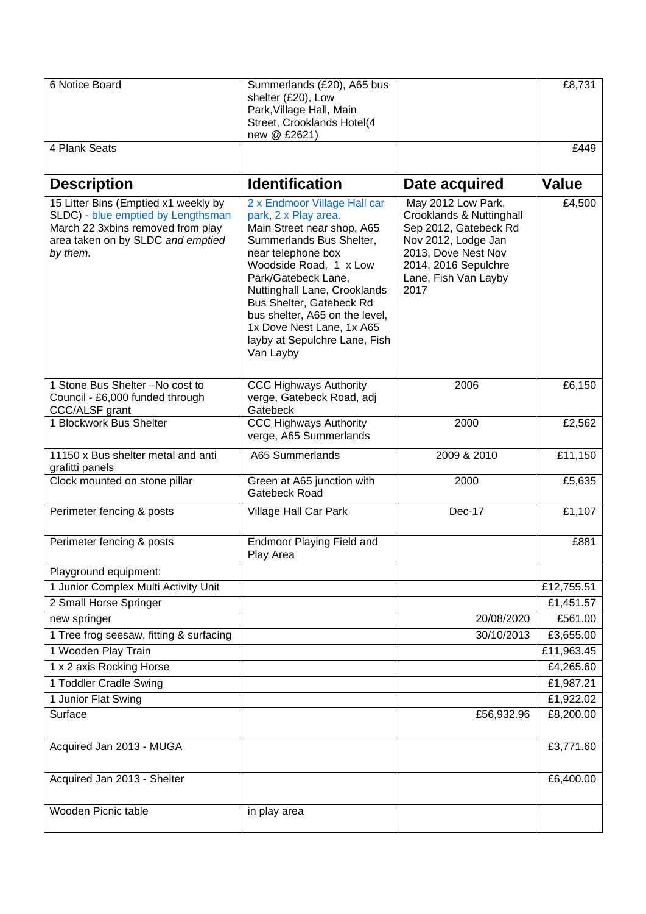| 6 Notice Board                                                                                                                                                   | Summerlands (£20), A65 bus<br>shelter (£20), Low<br>Park, Village Hall, Main<br>Street, Crooklands Hotel(4<br>new @ £2621)                                                                                                                                                                                                                                     |                                                                                                                                                                               | £8,731                 |
|------------------------------------------------------------------------------------------------------------------------------------------------------------------|----------------------------------------------------------------------------------------------------------------------------------------------------------------------------------------------------------------------------------------------------------------------------------------------------------------------------------------------------------------|-------------------------------------------------------------------------------------------------------------------------------------------------------------------------------|------------------------|
| 4 Plank Seats                                                                                                                                                    |                                                                                                                                                                                                                                                                                                                                                                |                                                                                                                                                                               | £449                   |
| <b>Description</b>                                                                                                                                               | <b>Identification</b>                                                                                                                                                                                                                                                                                                                                          | Date acquired                                                                                                                                                                 | <b>Value</b>           |
| 15 Litter Bins (Emptied x1 weekly by<br>SLDC) - blue emptied by Lengthsman<br>March 22 3xbins removed from play<br>area taken on by SLDC and emptied<br>by them. | 2 x Endmoor Village Hall car<br>park, 2 x Play area.<br>Main Street near shop, A65<br>Summerlands Bus Shelter,<br>near telephone box<br>Woodside Road, 1 x Low<br>Park/Gatebeck Lane,<br>Nuttinghall Lane, Crooklands<br>Bus Shelter, Gatebeck Rd<br>bus shelter, A65 on the level,<br>1x Dove Nest Lane, 1x A65<br>layby at Sepulchre Lane, Fish<br>Van Layby | May 2012 Low Park,<br>Crooklands & Nuttinghall<br>Sep 2012, Gatebeck Rd<br>Nov 2012, Lodge Jan<br>2013, Dove Nest Nov<br>2014, 2016 Sepulchre<br>Lane, Fish Van Layby<br>2017 | £4,500                 |
| 1 Stone Bus Shelter -No cost to<br>Council - £6,000 funded through<br>CCC/ALSF grant                                                                             | <b>CCC Highways Authority</b><br>verge, Gatebeck Road, adj<br>Gatebeck                                                                                                                                                                                                                                                                                         | 2006                                                                                                                                                                          | £6,150                 |
| 1 Blockwork Bus Shelter                                                                                                                                          | <b>CCC Highways Authority</b><br>verge, A65 Summerlands                                                                                                                                                                                                                                                                                                        | 2000                                                                                                                                                                          | £2,562                 |
| 11150 x Bus shelter metal and anti<br>grafitti panels                                                                                                            | A65 Summerlands                                                                                                                                                                                                                                                                                                                                                | 2009 & 2010                                                                                                                                                                   | £11,150                |
| Clock mounted on stone pillar                                                                                                                                    | Green at A65 junction with<br>Gatebeck Road                                                                                                                                                                                                                                                                                                                    | 2000                                                                                                                                                                          | £5,635                 |
| Perimeter fencing & posts                                                                                                                                        | Village Hall Car Park                                                                                                                                                                                                                                                                                                                                          | Dec-17                                                                                                                                                                        | £1,107                 |
| Perimeter fencing & posts                                                                                                                                        | <b>Endmoor Playing Field and</b><br>Play Area                                                                                                                                                                                                                                                                                                                  |                                                                                                                                                                               | £881                   |
| Playground equipment:                                                                                                                                            |                                                                                                                                                                                                                                                                                                                                                                |                                                                                                                                                                               |                        |
| 1 Junior Complex Multi Activity Unit                                                                                                                             |                                                                                                                                                                                                                                                                                                                                                                |                                                                                                                                                                               | £12,755.51             |
| 2 Small Horse Springer                                                                                                                                           |                                                                                                                                                                                                                                                                                                                                                                |                                                                                                                                                                               | £1,451.57              |
| new springer                                                                                                                                                     |                                                                                                                                                                                                                                                                                                                                                                | 20/08/2020                                                                                                                                                                    | £561.00                |
| 1 Tree frog seesaw, fitting & surfacing                                                                                                                          |                                                                                                                                                                                                                                                                                                                                                                | 30/10/2013                                                                                                                                                                    | £3,655.00              |
| 1 Wooden Play Train                                                                                                                                              |                                                                                                                                                                                                                                                                                                                                                                |                                                                                                                                                                               | £11,963.45             |
| 1 x 2 axis Rocking Horse                                                                                                                                         |                                                                                                                                                                                                                                                                                                                                                                |                                                                                                                                                                               | £4,265.60              |
| 1 Toddler Cradle Swing<br>1 Junior Flat Swing                                                                                                                    |                                                                                                                                                                                                                                                                                                                                                                |                                                                                                                                                                               | £1,987.21<br>£1,922.02 |
| Surface                                                                                                                                                          |                                                                                                                                                                                                                                                                                                                                                                | £56,932.96                                                                                                                                                                    | £8,200.00              |
|                                                                                                                                                                  |                                                                                                                                                                                                                                                                                                                                                                |                                                                                                                                                                               |                        |
| Acquired Jan 2013 - MUGA                                                                                                                                         |                                                                                                                                                                                                                                                                                                                                                                |                                                                                                                                                                               | £3,771.60              |
| Acquired Jan 2013 - Shelter                                                                                                                                      |                                                                                                                                                                                                                                                                                                                                                                |                                                                                                                                                                               | £6,400.00              |
| Wooden Picnic table                                                                                                                                              | in play area                                                                                                                                                                                                                                                                                                                                                   |                                                                                                                                                                               |                        |